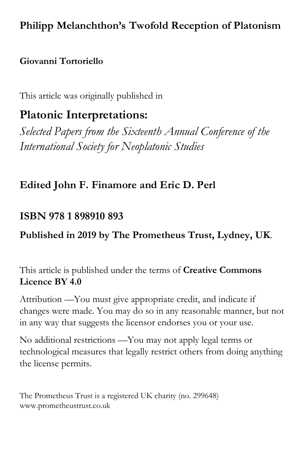## **Philipp Melanchthon's Twofold Reception of Platonism**

### **Giovanni Tortoriello**

This article was originally published in

# **Platonic Interpretations:**

*Selected Papers from the Sixteenth Annual Conference of the International Society for Neoplatonic Studies*

### **Edited John F. Finamore and Eric D. Perl**

### **ISBN 978 1 898910 893**

### **Published in 2019 by The Prometheus Trust, Lydney, UK**.

This article is published under the terms of **Creative Commons Licence BY 4.0**

Attribution —You must give appropriate credit, and indicate if changes were made. You may do so in any reasonable manner, but not in any way that suggests the licensor endorses you or your use.

No additional restrictions —You may not apply legal terms or technological measures that legally restrict others from doing anything the license permits.

The Prometheus Trust is a registered UK charity (no. 299648) www.prometheustrust.co.uk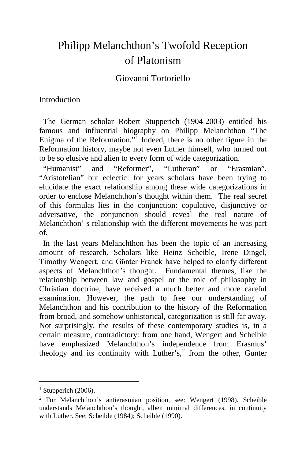## Philipp Melanchthon's Twofold Reception of Platonism

### Giovanni Tortoriello

#### Introduction

 The German scholar Robert Stupperich (1904-2003) entitled his famous and influential biography on Philipp Melanchthon "The Enigma of the Reformation."[1](#page-1-0) Indeed, there is no other figure in the Reformation history, maybe not even Luther himself, who turned out to be so elusive and alien to every form of wide categorization.

 "Humanist" and "Reformer", "Lutheran" or "Erasmian", "Aristotelian" but eclectic: for years scholars have been trying to elucidate the exact relationship among these wide categorizations in order to enclose Melanchthon's thought within them. The real secret of this formulas lies in the conjunction: copulative, disjunctive or adversative, the conjunction should reveal the real nature of Melanchthon' s relationship with the different movements he was part of.

 In the last years Melanchthon has been the topic of an increasing amount of research. Scholars like Heinz Scheible, Irene Dingel, Timothy Wengert, and Gϋnter Franck have helped to clarify different aspects of Melanchthon's thought. Fundamental themes, like the relationship between law and gospel or the role of philosophy in Christian doctrine, have received a much better and more careful examination. However, the path to free our understanding of Melanchthon and his contribution to the history of the Reformation from broad, and somehow unhistorical, categorization is still far away. Not surprisingly, the results of these contemporary studies is, in a certain measure, contradictory: from one hand, Wengert and Scheible have emphasized Melanchthon's independence from Erasmus' theology and its continuity with Luther's, $2$  from the other, Gunter

<span id="page-1-0"></span> $<sup>1</sup>$  Stupperich (2006).</sup>

<span id="page-1-1"></span><sup>2</sup> For Melanchthon's antierasmian position, see: Wengert (1998). Scheible understands Melanchthon's thought, albeit minimal differences, in continuity with Luther. See: Scheible (1984); Scheible (1990).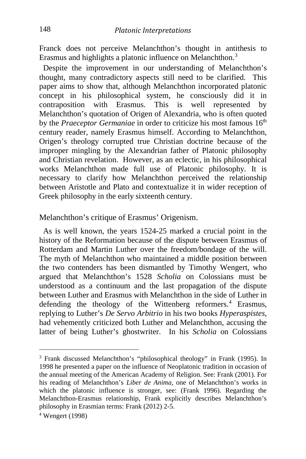Franck does not perceive Melanchthon's thought in antithesis to Erasmus and highlights a platonic influence on Melanchthon.<sup>[3](#page-2-0)</sup>

 Despite the improvement in our understanding of Melanchthon's thought, many contradictory aspects still need to be clarified. This paper aims to show that, although Melanchthon incorporated platonic concept in his philosophical system, he consciously did it in contraposition with Erasmus. This is well represented by Melanchthon's quotation of Origen of Alexandria, who is often quoted by the *Praeceptor Germaniae* in order to criticize his most famous 16<sup>th</sup> century reader, namely Erasmus himself. According to Melanchthon, Origen's theology corrupted true Christian doctrine because of the improper mingling by the Alexandrian father of Platonic philosophy and Christian revelation. However, as an eclectic, in his philosophical works Melanchthon made full use of Platonic philosophy. It is necessary to clarify how Melanchthon perceived the relationship between Aristotle and Plato and contextualize it in wider reception of Greek philosophy in the early sixteenth century.

#### Melanchthon's critique of Erasmus' Origenism.

 As is well known, the years 1524-25 marked a crucial point in the history of the Reformation because of the dispute between Erasmus of Rotterdam and Martin Luther over the freedom/bondage of the will. The myth of Melanchthon who maintained a middle position between the two contenders has been dismantled by Timothy Wengert, who argued that Melanchthon's 1528 *Scholia* on Colossians must be understood as a continuum and the last propagation of the dispute between Luther and Erasmus with Melanchthon in the side of Luther in defending the theology of the Wittenberg reformers.<sup>[4](#page-2-1)</sup> Erasmus, replying to Luther's *De Servo Arbitrio* in his two books *Hyperaspistes*, had vehemently criticized both Luther and Melanchthon, accusing the latter of being Luther's ghostwriter. In his *Scholia* on Colossians

<span id="page-2-0"></span><sup>3</sup> Frank discussed Melanchthon's "philosophical theology" in Frank (1995). In 1998 he presented a paper on the influence of Neoplatonic tradition in occasion of the annual meeting of the American Academy of Religion. See: Frank (2001). For his reading of Melanchthon's *Liber de Anima*, one of Melanchthon's works in which the platonic influence is stronger, see: (Frank 1996). Regarding the Melanchthon-Erasmus relationship, Frank explicitly describes Melanchthon's philosophy in Erasmian terms: Frank (2012) 2-5.

<span id="page-2-1"></span><sup>4</sup> Wengert (1998)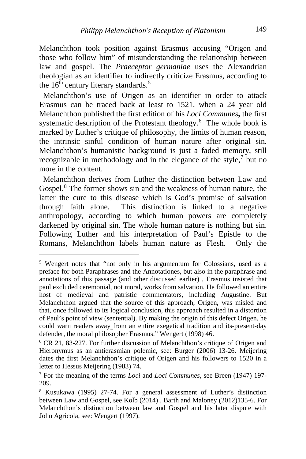Melanchthon took position against Erasmus accusing "Origen and those who follow him" of misunderstanding the relationship between law and gospel. The *Praeceptor germaniae* uses the Alexandrian theologian as an identifier to indirectly criticize Erasmus, according to the  $16<sup>th</sup>$  century literary standards.<sup>[5](#page-3-0)</sup>

 Melanchthon's use of Origen as an identifier in order to attack Erasmus can be traced back at least to 1521, when a 24 year old Melanchthon published the first edition of his *Loci Communes***,** the first systematic description of the Protestant theology.<sup>[6](#page-3-1)</sup> The whole book is marked by Luther's critique of philosophy, the limits of human reason, the intrinsic sinful condition of human nature after original sin. Melanchthon's humanistic background is just a faded memory, still recognizable in methodology and in the elegance of the style, $\frac{7}{1}$  $\frac{7}{1}$  $\frac{7}{1}$  but no more in the content.

 Melanchthon derives from Luther the distinction between Law and Gospel.<sup>[8](#page-3-3)</sup> The former shows sin and the weakness of human nature, the latter the cure to this disease which is God's promise of salvation through faith alone. This distinction is linked to a negative anthropology, according to which human powers are completely darkened by original sin. The whole human nature is nothing but sin. Following Luther and his interpretation of Paul's Epistle to the Romans, Melanchthon labels human nature as Flesh. Only the

<span id="page-3-0"></span><sup>5</sup> Wengert notes that "not only in his argumentum for Colossians, used as a preface for both Paraphrases and the Annotationes, but also in the paraphrase and annotations of this passage (and other discussed earlier) , Erasmus insisted that paul excluded ceremonial, not moral, works from salvation. He followed an entire host of medieval and patristic commentators, including Augustine. But Melanchthon argued that the source of this approach, Origen, was misled and that, once followed to its logical conclusion, this approach resulted in a distortion of Paul's point of view (sentential). By making the origin of this defect Origen, he could warn readers away from an entire exegetical tradition and its-present-day defender, the moral philosopher Erasmus." Wengert (1998) 46.

<span id="page-3-1"></span><sup>&</sup>lt;sup>6</sup> CR 21, 83-227. For further discussion of Melanchthon's critique of Origen and Hieronymus as an antierasmian polemic, see: Burger (2006) 13-26. Meijering dates the first Melanchthon's critique of Origen and his followers to 1520 in a letter to Hessus Meijering (1983) 74.

<span id="page-3-2"></span><sup>7</sup> For the meaning of the terms *Loci* and *Loci Communes*, see Breen (1947) 197- 209.

<span id="page-3-3"></span><sup>8</sup> Kusukawa (1995) 27-74. For a general assessment of Luther's distinction between Law and Gospel, see Kolb (2014) , Barth and Maloney (2012)135-6. For Melanchthon's distinction between law and Gospel and his later dispute with John Agricola, see: Wengert (1997).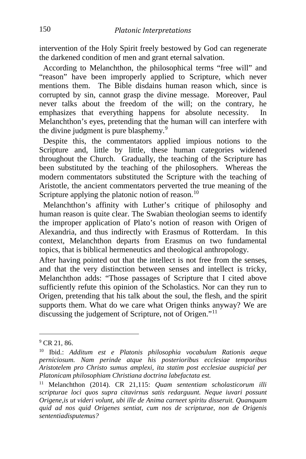intervention of the Holy Spirit freely bestowed by God can regenerate the darkened condition of men and grant eternal salvation.

 According to Melanchthon, the philosophical terms "free will" and "reason" have been improperly applied to Scripture, which never mentions them. The Bible disdains human reason which, since is corrupted by sin, cannot grasp the divine message. Moreover, Paul never talks about the freedom of the will; on the contrary, he emphasizes that everything happens for absolute necessity. In Melanchthon's eyes, pretending that the human will can interfere with the divine judgment is pure blasphemy.<sup>[9](#page-4-0)</sup>

 Despite this, the commentators applied impious notions to the Scripture and, little by little, these human categories widened throughout the Church. Gradually, the teaching of the Scripture has been substituted by the teaching of the philosophers. Whereas the modern commentators substituted the Scripture with the teaching of Aristotle, the ancient commentators perverted the true meaning of the Scripture applying the platonic notion of reason.<sup>[10](#page-4-1)</sup>

 Melanchthon's affinity with Luther's critique of philosophy and human reason is quite clear. The Swabian theologian seems to identify the improper application of Plato's notion of reason with Origen of Alexandria, and thus indirectly with Erasmus of Rotterdam. In this context, Melanchthon departs from Erasmus on two fundamental topics, that is biblical hermeneutics and theological anthropology.

After having pointed out that the intellect is not free from the senses, and that the very distinction between senses and intellect is tricky, Melanchthon adds: "Those passages of Scripture that I cited above sufficiently refute this opinion of the Scholastics. Nor can they run to Origen, pretending that his talk about the soul, the flesh, and the spirit supports them. What do we care what Origen thinks anyway? We are discussing the judgement of Scripture, not of Origen."<sup>[11](#page-4-2)</sup>

<span id="page-4-0"></span> $^{9}$  CR 21, 86.

<span id="page-4-1"></span><sup>10</sup> Ibid.: *Additum est e Platonis philosophia vocabulum Rationis aeque perniciosum. Nam perinde atque his posterioribus ecclesiae temporibus Aristotelem pro Christo sumus amplexi, ita statim post ecclesiae auspicial per Platonicam philosophiam Christiana doctrina labefactata est.* 

<span id="page-4-2"></span><sup>11</sup> Melanchthon (2014). CR 21,115: *Quam sententiam scholasticorum illi scripturae loci quos supra citavirnus satis redarguunt. Neque iuvari possunt Origene,is ut videri volunt, ubi ille de Anima carneet spiritu disseruit. Quanquam quid ad nos quid Origenes sentiat, cum nos de scripturae, non de Origenis sententiadisputemus?*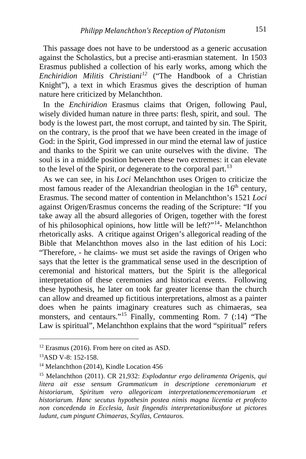This passage does not have to be understood as a generic accusation against the Scholastics, but a precise anti-erasmian statement. In 1503 Erasmus published a collection of his early works, among which the *Enchiridion Militis Christiani[12](#page-5-0)* ("The Handbook of a Christian Knight"), a text in which Erasmus gives the description of human nature here criticized by Melanchthon.

 In the *Enchiridion* Erasmus claims that Origen, following Paul, wisely divided human nature in three parts: flesh, spirit, and soul. The body is the lowest part, the most corrupt, and tainted by sin. The Spirit, on the contrary, is the proof that we have been created in the image of God: in the Spirit, God impressed in our mind the eternal law of justice and thanks to the Spirit we can unite ourselves with the divine. The soul is in a middle position between these two extremes: it can elevate to the level of the Spirit, or degenerate to the corporal part.<sup>[13](#page-5-1)</sup>

 As we can see, in his *Loci* Melanchthon uses Origen to criticize the most famous reader of the Alexandrian theologian in the  $16<sup>th</sup>$  century, Erasmus. The second matter of contention in Melanchthon's 1521 *Loci*  against Origen/Erasmus concerns the reading of the Scripture: "If you take away all the absurd allegories of Origen, together with the forest of his philosophical opinions, how little will be left?"[14](#page-5-2)- Melanchthon rhetorically asks. A critique against Origen's allegorical reading of the Bible that Melanchthon moves also in the last edition of his Loci: "Therefore, - he claims- we must set aside the ravings of Origen who says that the letter is the grammatical sense used in the description of ceremonial and historical matters, but the Spirit is the allegorical interpretation of these ceremonies and historical events. Following these hypothesis, he later on took far greater license than the church can allow and dreamed up fictitious interpretations, almost as a painter does when he paints imaginary creatures such as chimaeras, sea monsters, and centaurs."<sup>[15](#page-5-3)</sup> Finally, commenting Rom. 7 (:14) "The Law is spiritual", Melanchthon explains that the word "spiritual" refers

<span id="page-5-0"></span><sup>&</sup>lt;sup>12</sup> Erasmus (2016). From here on cited as ASD.<br><sup>13</sup>ASD V-8: 152-158.

<span id="page-5-1"></span>

<span id="page-5-2"></span><sup>&</sup>lt;sup>14</sup> Melanchthon (2014), Kindle Location 456

<span id="page-5-3"></span><sup>15</sup> Melanchthon (2011). CR 21,932: *Explodantur ergo deliramenta Origenis, qui litera ait esse sensum Grammaticum in descriptione ceremoniarum et historiarum, Spiritum vero allegoricam interpretationemceremoniarum et historiarum. Hanc secutus hypothesin postea nimis magna licentia et profecto non concedenda in Ecclesia, lusit fingendis interpretationibusfore ut pictores ludunt, cum pingunt Chimaeras, Scyllas, Centauros.*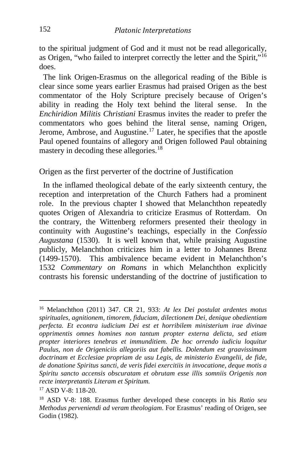to the spiritual judgment of God and it must not be read allegorically, as Origen, "who failed to interpret correctly the letter and the Spirit,"[16](#page-6-0) does.

The link Origen-Erasmus on the allegorical reading of the Bible is clear since some years earlier Erasmus had praised Origen as the best commentator of the Holy Scripture precisely because of Origen's ability in reading the Holy text behind the literal sense. In the *Enchiridion Militis Christiani* Erasmus invites the reader to prefer the commentators who goes behind the literal sense, naming Origen, Jerome, Ambrose, and Augustine.[17](#page-6-1) Later, he specifies that the apostle Paul opened fountains of allegory and Origen followed Paul obtaining mastery in decoding these allegories.<sup>[18](#page-6-2)</sup>

Origen as the first perverter of the doctrine of Justification

 In the inflamed theological debate of the early sixteenth century, the reception and interpretation of the Church Fathers had a prominent role. In the previous chapter I showed that Melanchthon repeatedly quotes Origen of Alexandria to criticize Erasmus of Rotterdam. On the contrary, the Wittenberg reformers presented their theology in continuity with Augustine's teachings, especially in the *Confessio Augustana* (1530). It is well known that, while praising Augustine publicly, Melanchthon criticizes him in a letter to Johannes Brenz (1499-1570). This ambivalence became evident in Melanchthon's 1532 *Commentary on Romans* in which Melanchthon explicitly contrasts his forensic understanding of the doctrine of justification to

<span id="page-6-0"></span><sup>16</sup> Melanchthon (2011) 347. CR 21, 933: *At lex Dei postulat ardentes motus spirituales, agnitionem, timorem, fiduciam, dilectionem Dei, denique obedientiam perfecta. Et econtra iudicium Dei est et horribilem ministerium irae divinae opprimentis omnes homines non tantum propter externa delicta, sed etiam propter interiores tenebras et immunditiem. De hoc orrendo iudiciu loquitur Paulus, non de Origeniciis allegoriis aut fabellis. Dolendum est graavissimam doctrinam et Ecclesiae propriam de usu Legis, de ministerio Evangelii, de fide, de donatione Spiritus sancti, de veris fidei exercitiis in invocatione, deque motis a Spiritu sancto accensis obscuratam et obrutam esse illis somniis Origenis non recte interpretantis Literam et Spiritum.* 

<span id="page-6-1"></span><sup>17</sup> ASD V-8: 118-20.

<span id="page-6-2"></span><sup>18</sup> ASD V-8: 188. Erasmus further developed these concepts in his *Ratio seu Methodus perveniendi ad veram theologiam*. For Erasmus' reading of Origen, see Godin (1982).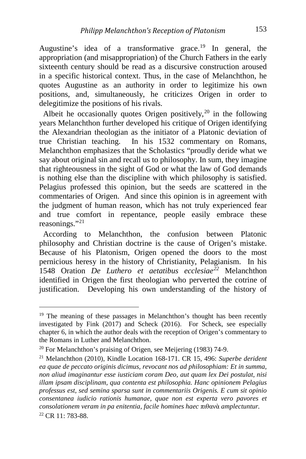Augustine's idea of a transformative grace.<sup>[19](#page-7-0)</sup> In general, the appropriation (and misappropriation) of the Church Fathers in the early sixteenth century should be read as a discursive construction aroused in a specific historical context. Thus, in the case of Melanchthon, he quotes Augustine as an authority in order to legitimize his own positions, and, simultaneously, he criticizes Origen in order to delegitimize the positions of his rivals.

Albeit he occasionally quotes Origen positively,  $2^0$  in the following years Melanchthon further developed his critique of Origen identifying the Alexandrian theologian as the initiator of a Platonic deviation of true Christian teaching. In his 1532 commentary on Romans, Melanchthon emphasizes that the Scholastics "proudly deride what we say about original sin and recall us to philosophy. In sum, they imagine that righteousness in the sight of God or what the law of God demands is nothing else than the discipline with which philosophy is satisfied. Pelagius professed this opinion, but the seeds are scattered in the commentaries of Origen. And since this opinion is in agreement with the judgment of human reason, which has not truly experienced fear and true comfort in repentance, people easily embrace these reasonings."[21](#page-7-2)

 According to Melanchthon, the confusion between Platonic philosophy and Christian doctrine is the cause of Origen's mistake. Because of his Platonism, Origen opened the doors to the most pernicious heresy in the history of Christianity, Pelagianism. In his 1548 Oration *De Luthero et aetatibus ecclesiae[22](#page-7-3)* Melanchthon identified in Origen the first theologian who perverted the cotrine of justification. Developing his own understanding of the history of

<span id="page-7-0"></span><sup>&</sup>lt;sup>19</sup> The meaning of these passages in Melanchthon's thought has been recently investigated by Fink (2017) and Scheck (2016). For Scheck, see especially chapter 6, in which the author deals with the reception of Origen's commentary to the Romans in Luther and Melanchthon.

<span id="page-7-1"></span> $20$  For Melanchthon's praising of Origen, see Meijering (1983) 74-9.

<span id="page-7-3"></span><span id="page-7-2"></span><sup>21</sup> Melanchthon (2010), Kindle Location 168-171. CR 15, 496: *Superbe derident ea quae de peccato originis dicimus, revocant nos ad philosophiam: Et in summa, non aliud imaginantur esse iusticiam coram Deo, aut quam lex Dei postulat, nisi illam ipsam disciplinam, qua contenta est philosophia. Hanc opinionem Pelagius professus est, sed semina sparsa sunt in commentariis Origenis. E cum sit opinio consentanea iudicio rationis humanae, quae non est experta vero pavores et consolationem veram in pa enitentia, facile homines haec* πιθανὰ *amplectuntur.* <sup>22</sup> CR 11: 783-88.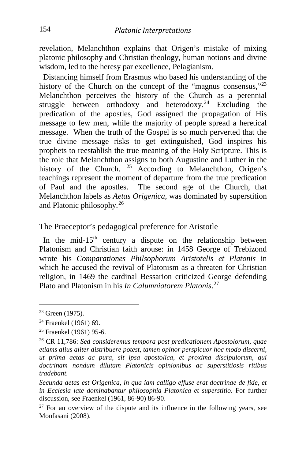revelation, Melanchthon explains that Origen's mistake of mixing platonic philosophy and Christian theology, human notions and divine wisdom, led to the heresy par excellence, Pelagianism.

 Distancing himself from Erasmus who based his understanding of the history of the Church on the concept of the "magnus consensus,"<sup>[23](#page-8-0)</sup> Melanchthon perceives the history of the Church as a perennial struggle between orthodoxy and heterodoxy.<sup>[24](#page-8-1)</sup> Excluding the predication of the apostles, God assigned the propagation of His message to few men, while the majority of people spread a heretical message. When the truth of the Gospel is so much perverted that the true divine message risks to get extinguished, God inspires his prophets to reestablish the true meaning of the Holy Scripture. This is the role that Melanchthon assigns to both Augustine and Luther in the history of the Church. <sup>[25](#page-8-2)</sup> According to Melanchthon, Origen's teachings represent the moment of departure from the true predication of Paul and the apostles. The second age of the Church, that Melanchthon labels as *Aetas Origenica*, was dominated by superstition and Platonic philosophy.[26](#page-8-3)

The Praeceptor's pedagogical preference for Aristotle

In the mid-15<sup>th</sup> century a dispute on the relationship between Platonism and Christian faith arouse: in 1458 George of Trebizond wrote his *Comparationes Philsophorum Aristotelis et Platonis* in which he accused the revival of Platonism as a threaten for Christian religion, in 1469 the cardinal Bessarion criticized George defending Plato and Platonism in his *In Calumniatorem Platonis*. [27](#page-8-4)

<span id="page-8-0"></span><sup>&</sup>lt;sup>23</sup> Green (1975).

<span id="page-8-1"></span><sup>24</sup> Fraenkel (1961) 69.

<span id="page-8-2"></span> $25$  Fraenkel (1961) 95-6.

<span id="page-8-3"></span><sup>26</sup> CR 11,786: *Sed consideremus tempora post predicationem Apostolorum, quae etiams alius aliter distribuere potest, tamen opinor perspicuor hoc modo discerni, ut prima aetas ac pura, sit ipsa apostolica, et proxima discipulorum, qui doctrinam nondum dilutam Platonicis opinionibus ac superstitiosis ritibus tradebant.*

*Secunda aetas est Origenica, in qua iam calligo effuse erat doctrinae de fide, et in Ecclesia late dominabantur philosophia Platonica et superstitio.* For further discussion, see Fraenkel (1961, 86-90) 86-90.

<span id="page-8-4"></span> $27$  For an overview of the dispute and its influence in the following years, see Monfasani (2008).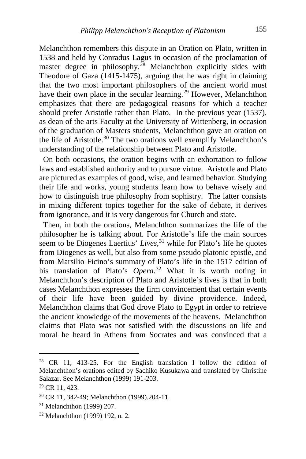Melanchthon remembers this dispute in an Oration on Plato, written in 1538 and held by Conradus Lagus in occasion of the proclamation of master degree in philosophy.<sup>[28](#page-9-0)</sup> Melanchthon explicitly sides with Theodore of Gaza (1415-1475), arguing that he was right in claiming that the two most important philosophers of the ancient world must have their own place in the secular learning.<sup>[29](#page-9-1)</sup> However, Melanchthon emphasizes that there are pedagogical reasons for which a teacher should prefer Aristotle rather than Plato. In the previous year (1537), as dean of the arts Faculty at the University of Wittenberg, in occasion of the graduation of Masters students, Melanchthon gave an oration on the life of Aristotle.<sup>[30](#page-9-2)</sup> The two orations well exemplify Melanchthon's understanding of the relationship between Plato and Aristotle.

 On both occasions, the oration begins with an exhortation to follow laws and established authority and to pursue virtue. Aristotle and Plato are pictured as examples of good, wise, and learned behavior. Studying their life and works, young students learn how to behave wisely and how to distinguish true philosophy from sophistry. The latter consists in mixing different topics together for the sake of debate, it derives from ignorance, and it is very dangerous for Church and state.

 Then, in both the orations, Melanchthon summarizes the life of the philosopher he is talking about. For Aristotle's life the main sources seem to be Diogenes Laertius' *Lives*, [31](#page-9-3) while for Plato's life he quotes from Diogenes as well, but also from some pseudo platonic epistle, and from Marsilio Ficino's summary of Plato's life in the 1517 edition of his translation of Plato's *Opera*. [32](#page-9-4) What it is worth noting in Melanchthon's description of Plato and Aristotle's lives is that in both cases Melanchthon expresses the firm convincement that certain events of their life have been guided by divine providence. Indeed, Melanchthon claims that God drove Plato to Egypt in order to retrieve the ancient knowledge of the movements of the heavens. Melanchthon claims that Plato was not satisfied with the discussions on life and moral he heard in Athens from Socrates and was convinced that a

i,

<span id="page-9-0"></span> $28$  CR 11, 413-25. For the English translation I follow the edition of Melanchthon's orations edited by Sachiko Kusukawa and translated by Christine Salazar. See Melanchthon (1999) 191-203.

<span id="page-9-1"></span><sup>29</sup> CR 11, 423.

<span id="page-9-2"></span><sup>30</sup> CR 11, 342-49; Melanchthon (1999).204-11.

<span id="page-9-3"></span><sup>31</sup> Melanchthon (1999) 207.

<span id="page-9-4"></span><sup>32</sup> Melanchthon (1999) 192, n. 2.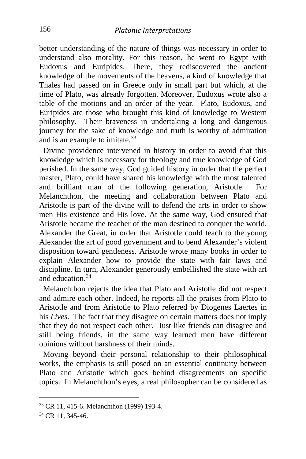better understanding of the nature of things was necessary in order to understand also morality. For this reason, he went to Egypt with Eudoxus and Euripides. There, they rediscovered the ancient knowledge of the movements of the heavens, a kind of knowledge that Thales had passed on in Greece only in small part but which, at the time of Plato, was already forgotten. Moreover, Eudoxus wrote also a table of the motions and an order of the year. Plato, Eudoxus, and Euripides are those who brought this kind of knowledge to Western philosophy. Their braveness in undertaking a long and dangerous journey for the sake of knowledge and truth is worthy of admiration and is an example to imitate.<sup>[33](#page-10-0)</sup>

 Divine providence intervened in history in order to avoid that this knowledge which is necessary for theology and true knowledge of God perished. In the same way, God guided history in order that the perfect master, Plato, could have shared his knowledge with the most talented and brilliant man of the following generation, Aristotle. For Melanchthon, the meeting and collaboration between Plato and Aristotle is part of the divine will to defend the arts in order to show men His existence and His love. At the same way, God ensured that Aristotle became the teacher of the man destined to conquer the world, Alexander the Great, in order that Aristotle could teach to the young Alexander the art of good government and to bend Alexander's violent disposition toward gentleness. Aristotle wrote many books in order to explain Alexander how to provide the state with fair laws and discipline. In turn, Alexander generously embellished the state with art and education  $34$ 

 Melanchthon rejects the idea that Plato and Aristotle did not respect and admire each other. Indeed, he reports all the praises from Plato to Aristotle and from Aristotle to Plato referred by Diogenes Laertes in his *Lives*. The fact that they disagree on certain matters does not imply that they do not respect each other. Just like friends can disagree and still being friends, in the same way learned men have different opinions without harshness of their minds.

 Moving beyond their personal relationship to their philosophical works, the emphasis is still posed on an essential continuity between Plato and Aristotle which goes behind disagreements on specific topics. In Melanchthon's eyes, a real philosopher can be considered as

<span id="page-10-0"></span><sup>33</sup> CR 11, 415-6. Melanchthon (1999) 193-4.

<span id="page-10-1"></span><sup>34</sup> CR 11, 345-46.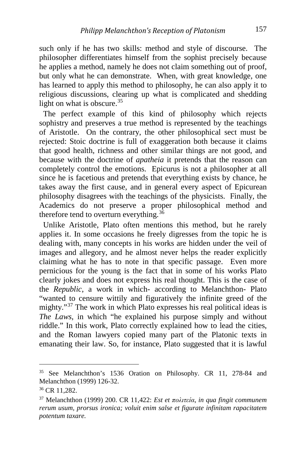such only if he has two skills: method and style of discourse. The philosopher differentiates himself from the sophist precisely because he applies a method, namely he does not claim something out of proof, but only what he can demonstrate. When, with great knowledge, one has learned to apply this method to philosophy, he can also apply it to religious discussions, clearing up what is complicated and shedding light on what is obscure. $35$ 

 The perfect example of this kind of philosophy which rejects sophistry and preserves a true method is represented by the teachings of Aristotle. On the contrary, the other philosophical sect must be rejected: Stoic doctrine is full of exaggeration both because it claims that good health, richness and other similar things are not good, and because with the doctrine of *apatheia* it pretends that the reason can completely control the emotions. Epicurus is not a philosopher at all since he is facetious and pretends that everything exists by chance, he takes away the first cause, and in general every aspect of Epicurean philosophy disagrees with the teachings of the physicists. Finally, the Academics do not preserve a proper philosophical method and therefore tend to overturn everything.  $3\overline{6}$ 

 Unlike Aristotle, Plato often mentions this method, but he rarely applies it. In some occasions he freely digresses from the topic he is dealing with, many concepts in his works are hidden under the veil of images and allegory, and he almost never helps the reader explicitly claiming what he has to note in that specific passage. Even more pernicious for the young is the fact that in some of his works Plato clearly jokes and does not express his real thought. This is the case of the *Republic*, a work in which- according to Melanchthon- Plato "wanted to censure wittily and figuratively the infinite greed of the mighty."[37](#page-11-2) The work in which Plato expresses his real political ideas is *The Laws*, in which "he explained his purpose simply and without riddle." In this work, Plato correctly explained how to lead the cities, and the Roman lawyers copied many part of the Platonic texts in emanating their law. So, for instance, Plato suggested that it is lawful

<span id="page-11-0"></span><sup>35</sup> See Melanchthon's 1536 Oration on Philosophy. CR 11, 278-84 and Melanchthon (1999) 126-32.

<span id="page-11-1"></span><sup>36</sup> CR 11,282.

<span id="page-11-2"></span><sup>37</sup> Melanchthon (1999) 200. CR 11,422: *Est et [πολιτεία](http://www.perseus.tufts.edu/hopper/text?doc=Perseus:text:1999.04.0057:entry=politei/a), in qua fingit communem rerum usum, prorsus ironica; voluit enim salse et figurate infinitam rapacitatem potentum taxare.*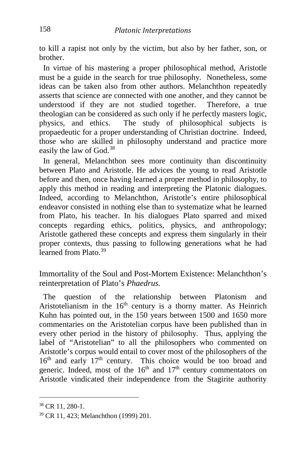to kill a rapist not only by the victim, but also by her father, son, or brother.

 In virtue of his mastering a proper philosophical method, Aristotle must be a guide in the search for true philosophy. Nonetheless, some ideas can be taken also from other authors. Melanchthon repeatedly asserts that science are connected with one another, and they cannot be understood if they are not studied together. Therefore, a true theologian can be considered as such only if he perfectly masters logic, physics, and ethics. The study of philosophical subjects is propaedeutic for a proper understanding of Christian doctrine. Indeed, those who are skilled in philosophy understand and practice more easily the law of God.[38](#page-12-0)

 In general, Melanchthon sees more continuity than discontinuity between Plato and Aristotle. He advices the young to read Aristotle before and then, once having learned a proper method in philosophy, to apply this method in reading and interpreting the Platonic dialogues. Indeed, according to Melanchthon, Aristotle's entire philosophical endeavor consisted in nothing else than to systematize what he learned from Plato, his teacher. In his dialogues Plato sparred and mixed concepts regarding ethics, politics, physics, and anthropology; Aristotle gathered these concepts and express them singularly in their proper contexts, thus passing to following generations what he had learned from Plato.<sup>[39](#page-12-1)</sup>

Immortality of the Soul and Post-Mortem Existence: Melanchthon's reinterpretation of Plato's *Phaedrus.*

 The question of the relationship between Platonism and Aristotelianism in the  $16<sup>th</sup>$  century is a thorny matter. As Heinrich Kuhn has pointed out, in the 150 years between 1500 and 1650 more commentaries on the Aristotelian corpus have been published than in every other period in the history of philosophy. Thus, applying the label of "Aristotelian" to all the philosophers who commented on Aristotle's corpus would entail to cover most of the philosophers of the  $16<sup>th</sup>$  and early  $17<sup>th</sup>$  century. This choice would be too broad and generic. Indeed, most of the  $16<sup>th</sup>$  and  $17<sup>th</sup>$  century commentators on Aristotle vindicated their independence from the Stagirite authority

<span id="page-12-0"></span><sup>38</sup> CR 11, 280-1.

<span id="page-12-1"></span><sup>39</sup> CR 11, 423; Melanchthon (1999) 201.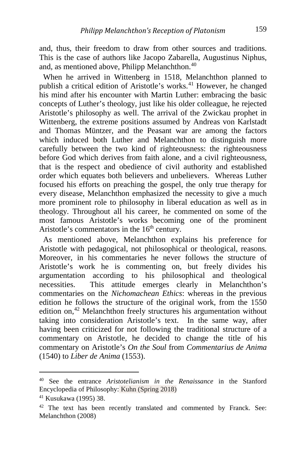and, thus, their freedom to draw from other sources and traditions. This is the case of authors like Jacopo Zabarella, Augustinus Niphus, and, as mentioned above, Philipp Melanchthon.<sup>[40](#page-13-0)</sup>

 When he arrived in Wittenberg in 1518, Melanchthon planned to publish a critical edition of Aristotle's works.<sup>[41](#page-13-1)</sup> However, he changed his mind after his encounter with Martin Luther: embracing the basic concepts of Luther's theology, just like his older colleague, he rejected Aristotle's philosophy as well. The arrival of the Zwickau prophet in Wittenberg, the extreme positions assumed by Andreas von Karlstadt and Thomas Müntzer, and the Peasant war are among the factors which induced both Luther and Melanchthon to distinguish more carefully between the two kind of righteousness: the righteousness before God which derives from faith alone, and a civil righteousness, that is the respect and obedience of civil authority and established order which equates both believers and unbelievers. Whereas Luther focused his efforts on preaching the gospel, the only true therapy for every disease, Melanchthon emphasized the necessity to give a much more prominent role to philosophy in liberal education as well as in theology. Throughout all his career, he commented on some of the most famous Aristotle's works becoming one of the prominent Aristotle's commentators in the  $16<sup>th</sup>$  century.

 As mentioned above, Melanchthon explains his preference for Aristotle with pedagogical, not philosophical or theological, reasons. Moreover, in his commentaries he never follows the structure of Aristotle's work he is commenting on, but freely divides his argumentation according to his philosophical and theological necessities. This attitude emerges clearly in Melanchthon's commentaries on the *Nichomachean Ethics*: whereas in the previous edition he follows the structure of the original work, from the 1550 edition on,<sup>[42](#page-13-2)</sup> Melanchthon freely structures his argumentation without taking into consideration Aristotle's text. In the same way, after having been criticized for not following the traditional structure of a commentary on Aristotle, he decided to change the title of his commentary on Aristotle's *On the Soul* from *Commentarius de Anima*  (1540) to *Liber de Anima* (1553).

i,

<span id="page-13-0"></span><sup>40</sup> See the entrance *Aristotelianism in the Renaissance* in the Stanford Encyclopedia of Philosophy: Kuhn (Spring 2018)

<span id="page-13-1"></span><sup>41</sup> Kusukawa (1995) 38.

<span id="page-13-2"></span><sup>&</sup>lt;sup>42</sup> The text has been recently translated and commented by Franck. See: Melanchthon (2008)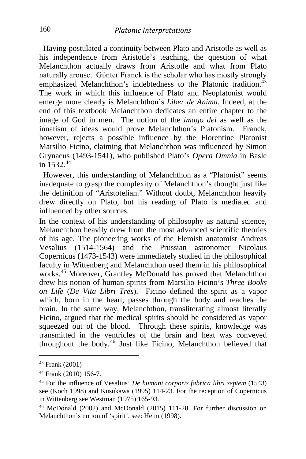Having postulated a continuity between Plato and Aristotle as well as his independence from Aristotle's teaching, the question of what Melanchthon actually draws from Aristotle and what from Plato naturally arouse. Gϋnter Franck is the scholar who has mostly strongly emphasized Melanchthon's indebtedness to the Platonic tradition.<sup>[43](#page-14-0)</sup> The work in which this influence of Plato and Neoplatonist would emerge more clearly is Melanchthon's *Liber de Anima*. Indeed, at the end of this textbook Melanchthon dedicates an entire chapter to the image of God in men. The notion of the *imago dei* as well as the innatism of ideas would prove Melanchthon's Platonism. Franck, however, rejects a possible influence by the Florentine Platonist Marsilio Ficino, claiming that Melanchthon was influenced by Simon Grynaeus (1493-1541), who published Plato's *Opera Omnia* in Basle in  $1532^{44}$  $1532^{44}$  $1532^{44}$ 

 However, this understanding of Melanchthon as a "Platonist" seems inadequate to grasp the complexity of Melanchthon's thought just like the definition of "Aristotelian." Without doubt, Melanchthon heavily drew directly on Plato, but his reading of Plato is mediated and influenced by other sources.

In the context of his understanding of philosophy as natural science, Melanchthon heavily drew from the most advanced scientific theories of his age. The pioneering works of the Flemish anatomist Andreas Vesalius (1514-1564) and the Prussian astronomer Nicolaus Copernicus (1473-1543) were immediately studied in the philosophical faculty in Wittenberg and Melanchthon used them in his philosophical works.<sup>[45](#page-14-2)</sup> Moreover, Grantley McDonald has proved that Melanchthon drew his notion of human spirits from Marsilio Ficino's *Three Books on Life* (*De Vita Libri Tres*). Ficino defined the spirit as a vapor which, born in the heart, passes through the body and reaches the brain. In the same way, Melanchthon, transliterating almost literally Ficino, argued that the medical spirits should be considered as vapor squeezed out of the blood. Through these spirits, knowledge was transmitted in the ventricles of the brain and heat was conveyed throughout the body.[46](#page-14-3) Just like Ficino, Melanchthon believed that

<span id="page-14-0"></span><sup>43</sup> Frank (2001)

<span id="page-14-2"></span><span id="page-14-1"></span><sup>44</sup> Frank (2010) 156-7. 45 For the influence of Vesalius' *De humani corporis fabrica libri septem* (1543) see (Koch 1998) and Kusukawa (1995) 114-23. For the reception of Copernicus in Wittenberg see Westman (1975) 165-93.

<span id="page-14-3"></span><sup>46</sup> McDonald (2002) and McDonald (2015) 111-28. For further discussion on Melanchthon's notion of 'spirit', see: Helm (1998).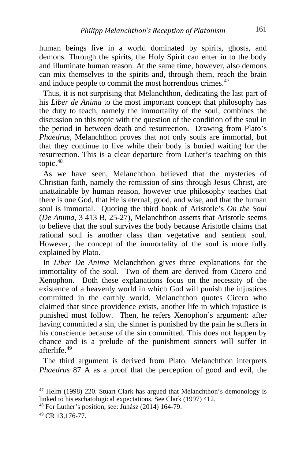human beings live in a world dominated by spirits, ghosts, and demons. Through the spirits, the Holy Spirit can enter in to the body and illuminate human reason. At the same time, however, also demons can mix themselves to the spirits and, through them, reach the brain and induce people to commit the most horrendous crimes.<sup>[47](#page-15-0)</sup>

 Thus, it is not surprising that Melanchthon, dedicating the last part of his *Liber de Anima* to the most important concept that philosophy has the duty to teach, namely the immortality of the soul, combines the discussion on this topic with the question of the condition of the soul in the period in between death and resurrection. Drawing from Plato's *Phaedrus*, Melanchthon proves that not only souls are immortal, but that they continue to live while their body is buried waiting for the resurrection. This is a clear departure from Luther's teaching on this topic.[48](#page-15-1)

 As we have seen, Melanchthon believed that the mysteries of Christian faith, namely the remission of sins through Jesus Christ, are unattainable by human reason, however true philosophy teaches that there is one God, that He is eternal, good, and wise, and that the human soul is immortal. Quoting the third book of Aristotle's *On the Soul*  (*De Anima*, 3 413 B, 25-27), Melanchthon asserts that Aristotle seems to believe that the soul survives the body because Aristotle claims that rational soul is another class than vegetative and sentient soul. However, the concept of the immortality of the soul is more fully explained by Plato.

 In *Liber De Anima* Melanchthon gives three explanations for the immortality of the soul. Two of them are derived from Cicero and Xenophon. Both these explanations focus on the necessity of the existence of a heavenly world in which God will punish the injustices committed in the earthly world. Melanchthon quotes Cicero who claimed that since providence exists, another life in which injustice is punished must follow. Then, he refers Xenophon's argument: after having committed a sin, the sinner is punished by the pain he suffers in his conscience because of the sin committed. This does not happen by chance and is a prelude of the punishment sinners will suffer in afterlife.[49](#page-15-2)

 The third argument is derived from Plato. Melanchthon interprets *Phaedrus* 87 A as a proof that the perception of good and evil, the

<span id="page-15-0"></span><sup>&</sup>lt;sup>47</sup> Helm (1998) 220. Stuart Clark has argued that Melanchthon's demonology is linked to his eschatological expectations. See Clark (1997) 412. 48 For Luther's position, see: Juhász (2014) 164-79.

<span id="page-15-1"></span>

<span id="page-15-2"></span><sup>49</sup> CR 13,176-77.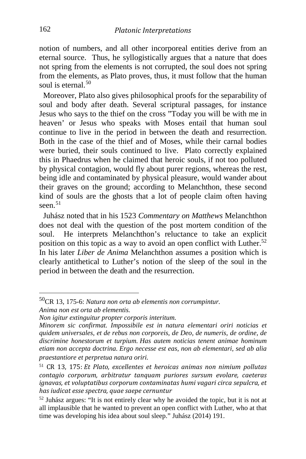notion of numbers, and all other incorporeal entities derive from an eternal source. Thus, he syllogistically argues that a nature that does not spring from the elements is not corrupted, the soul does not spring from the elements, as Plato proves, thus, it must follow that the human soul is eternal. $50$ 

 Moreover, Plato also gives philosophical proofs for the separability of soul and body after death. Several scriptural passages, for instance Jesus who says to the thief on the cross "Today you will be with me in heaven' or Jesus who speaks with Moses entail that human soul continue to live in the period in between the death and resurrection. Both in the case of the thief and of Moses, while their carnal bodies were buried, their souls continued to live. Plato correctly explained this in Phaedrus when he claimed that heroic souls, if not too polluted by physical contagion, would fly about purer regions, whereas the rest, being idle and contaminated by physical pleasure, would wander about their graves on the ground; according to Melanchthon, these second kind of souls are the ghosts that a lot of people claim often having seen. $51$ 

 Juhász noted that in his 1523 *Commentary on Matthews* Melanchthon does not deal with the question of the post mortem condition of the soul. He interprets Melanchthon's reluctance to take an explicit position on this topic as a way to avoid an open conflict with Luther.<sup>[52](#page-16-2)</sup> In his later *Liber de Anima* Melanchthon assumes a position which is clearly antithetical to Luther's notion of the sleep of the soul in the period in between the death and the resurrection.

<span id="page-16-0"></span>50CR 13, 175-6: *Natura non orta ab elementis non corrumpintur. Anima non est orta ab elementis.*

*Non igitur extinguitur propter corporis interitum.*

*Minorem sic confirmat. Impossibile est in natura elementari oriri noticias et quidem universales, et de rebus non corporeis, de Deo, de numeris, de ordine, de discrimine honestorum et turpium. Has autem noticias tenent animae hominum etiam non accepta doctrina. Ergo necesse est eas, non ab elementari, sed ab alia praestantiore et perpretua natura oriri.*

<span id="page-16-1"></span><sup>51</sup> CR 13, 175: *Et Plato, excellentes et heroicas animas non nimium pollutas contagio corporum, arbitratur tanquam puriores sursum evolare, caeteras ignavas, et voluptatibus corporum contaminatas humi vagari circa sepulcra, et has iudicat esse spectra, quae saepe cernuntur*

<span id="page-16-2"></span><sup>52</sup> Juhász argues: "It is not entirely clear why he avoided the topic, but it is not at all implausible that he wanted to prevent an open conflict with Luther, who at that time was developing his idea about soul sleep." Juhász (2014) 191.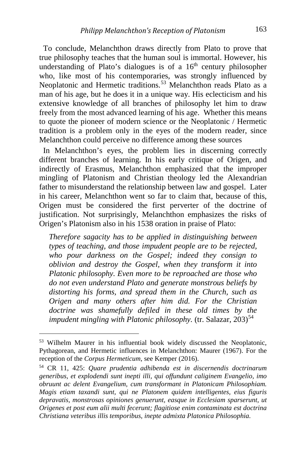To conclude, Melanchthon draws directly from Plato to prove that true philosophy teaches that the human soul is immortal. However, his understanding of Plato's dialogues is of a  $16<sup>th</sup>$  century philosopher who, like most of his contemporaries, was strongly influenced by Neoplatonic and Hermetic traditions.<sup>[53](#page-17-0)</sup> Melanchthon reads Plato as a man of his age, but he does it in a unique way. His eclecticism and his extensive knowledge of all branches of philosophy let him to draw freely from the most advanced learning of his age. Whether this means to quote the pioneer of modern science or the Neoplatonic / Hermetic tradition is a problem only in the eyes of the modern reader, since Melanchthon could perceive no difference among these sources

 In Melanchthon's eyes, the problem lies in discerning correctly different branches of learning. In his early critique of Origen, and indirectly of Erasmus, Melanchthon emphasized that the improper mingling of Platonism and Christian theology led the Alexandrian father to misunderstand the relationship between law and gospel. Later in his career, Melanchthon went so far to claim that, because of this, Origen must be considered the first perverter of the doctrine of justification. Not surprisingly, Melanchthon emphasizes the risks of Origen's Platonism also in his 1538 oration in praise of Plato:

*Therefore sagacity has to be applied in distinguishing between types of teaching, and those impudent people are to be rejected, who pour darkness on the Gospel; indeed they consign to oblivion and destroy the Gospel, when they transform it into Platonic philosophy. Even more to be reproached are those who do not even understand Plato and generate monstrous beliefs by distorting his forms, and spread them in the Church, such as Origen and many others after him did. For the Christian doctrine was shamefully defiled in these old times by the impudent mingling with Platonic philosophy.* (tr. Salazar, 203)<sup>[54](#page-17-1)</sup>

<span id="page-17-0"></span><sup>53</sup> Wilhelm Maurer in his influential book widely discussed the Neoplatonic, Pythagorean, and Hermetic influences in Melanchthon: Maurer (1967). For the reception of the *Corpus Hermeticum*, see Kemper (2016).

<span id="page-17-1"></span><sup>54</sup> CR 11, 425: *Quare prudentia adhibenda est in discernendis doctrinarum generibus, et explodendi sunt inepti illi, qui offundunt caliginem Evangelio, imo obruunt ac delent Evangelium, cum transformant in Platonicam Philosophiam. Magis etiam taxandi sunt, qui ne Platonem quidem intelligentes, eius figuris depravatis, monstrosas opiniones genuerunt, easque in Ecclesiam sparserunt, ut Origenes et post eum alii multi fecerunt; flagitiose enim contaminata est doctrina Christiana veteribus illis temporibus, inepte admixta Platonica Philosophia.*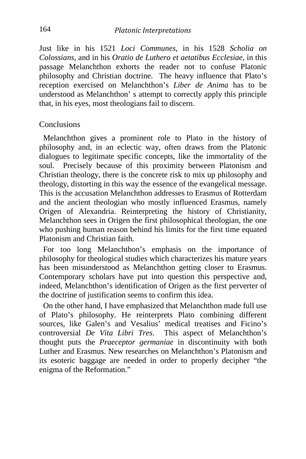Just like in his 1521 *Loci Communes*, in his 1528 *Scholia on Colossians*, and in his *Oratio de Luthero et aetatibus Ecclesiae*, in this passage Melanchthon exhorts the reader not to confuse Platonic philosophy and Christian doctrine. The heavy influence that Plato's reception exercised on Melanchthon's *Liber de Anima* has to be understood as Melanchthon' s attempt to correctly apply this principle that, in his eyes, most theologians fail to discern.

#### Conclusions

Melanchthon gives a prominent role to Plato in the history of philosophy and, in an eclectic way, often draws from the Platonic dialogues to legitimate specific concepts, like the immortality of the soul. Precisely because of this proximity between Platonism and Christian theology, there is the concrete risk to mix up philosophy and theology, distorting in this way the essence of the evangelical message. This is the accusation Melanchthon addresses to Erasmus of Rotterdam and the ancient theologian who mostly influenced Erasmus, namely Origen of Alexandria. Reinterpreting the history of Christianity, Melanchthon sees in Origen the first philosophical theologian, the one who pushing human reason behind his limits for the first time equated Platonism and Christian faith.

 For too long Melanchthon's emphasis on the importance of philosophy for theological studies which characterizes his mature years has been misunderstood as Melanchthon getting closer to Erasmus. Contemporary scholars have put into question this perspective and, indeed, Melanchthon's identification of Origen as the first perverter of the doctrine of justification seems to confirm this idea.

 On the other hand, I have emphasized that Melanchthon made full use of Plato's philosophy. He reinterprets Plato combining different sources, like Galen's and Vesalius' medical treatises and Ficino's controversial *De Vita Libri Tres*. This aspect of Melanchthon's thought puts the *Praeceptor germaniae* in discontinuity with both Luther and Erasmus. New researches on Melanchthon's Platonism and its esoteric baggage are needed in order to properly decipher "the enigma of the Reformation."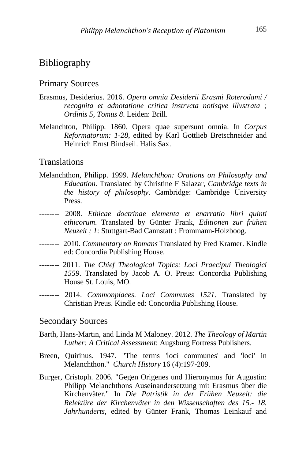### Bibliography

#### Primary Sources

- Erasmus, Desiderius. 2016. *Opera omnia Desiderii Erasmi Roterodami / recognita et adnotatione critica instrvcta notisqve illvstrata ; Ordinis 5, Tomus 8*. Leiden: Brill.
- Melanchton, Philipp. 1860. Opera quae supersunt omnia. In *Corpus Reformatorum: 1-28*, edited by Karl Gottlieb Bretschneider and Heinrich Ernst Bindseil. Halis Sax.

#### **Translations**

- Melanchthon, Philipp. 1999. *Melanchthon: Orations on Philosophy and Education*. Translated by Christine F Salazar, *Cambridge texts in the history of philosophy*. Cambridge: Cambridge University Press.
- *--------* 2008. *Ethicae doctrinae elementa et enarratio libri quinti ethicorum*. Translated by Günter Frank, *Editionen zur frühen Neuzeit ; 1*: Stuttgart-Bad Cannstatt : Frommann-Holzboog.
- *--------* 2010. *Commentary on Romans* Translated by Fred Kramer. Kindle ed: Concordia Publishing House.
- *--------* 2011. *The Chief Theological Topics: Loci Praecipui Theologici 1559*. Translated by Jacob A. O. Preus: Concordia Publishing House St. Louis, MO.
- *--------* 2014. *Commonplaces. Loci Communes 1521.* Translated by Christian Preus. Kindle ed: Concordia Publishing House.

#### Secondary Sources

- Barth, Hans-Martin, and Linda M Maloney. 2012. *The Theology of Martin Luther: A Critical Assessment*: Augsburg Fortress Publishers.
- Breen, Quirinus. 1947. "The terms 'loci communes' and 'loci' in Melanchthon." *Church History* 16 (4):197-209.
- Burger, Cristoph. 2006. "Gegen Origenes und Hieronymus für Augustin: Philipp Melanchthons Auseinandersetzung mit Erasmus über die Kirchenväter." In *Die Patristik in der Frühen Neuzeit: die Relektüre der Kirchenväter in den Wissenschaften des 15.- 18. Jahrhunderts*, edited by Günter Frank, Thomas Leinkauf and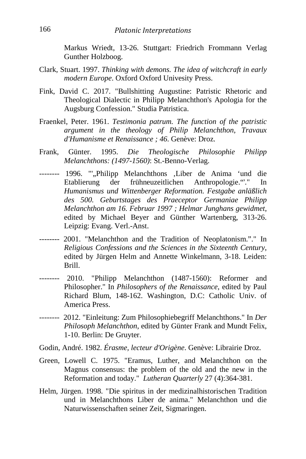Markus Wriedt, 13-26. Stuttgart: Friedrich Frommann Verlag Gunther Holzboog.

- Clark, Stuart. 1997. *Thinking with demons. The idea of witchcraft in early modern Europe*. Oxford Oxford Univesity Press.
- Fink, David C. 2017. "Bullshitting Augustine: Patristic Rhetoric and Theological Dialectic in Philipp Melanchthon's Apologia for the Augsburg Confession." Studia Patristica.
- Fraenkel, Peter. 1961. *Testimonia patrum. The function of the patristic argument in the theology of Philip Melanchthon*, *Travaux d'Humanisme et Renaissance ; 46*. Genève: Droz.
- Frank, Günter. 1995. *Die Theologische Philosophie Philipp Melanchthons: (1497-1560)*: St.-Benno-Verlag.
- *--------* 1996. "'"Philipp Melanchthons 'Liber de Anima 'und die Etablierung der frühneuzeitlichen Anthropologie."'." In *Humanismus und Wittenberger Reformation. Festgabe anläßlich des 500. Geburtstages des Praeceptor Germaniae Philipp Melanchthon am 16. Februar 1997 ; Helmar Junghans gewidmet*, edited by Michael Beyer and Günther Wartenberg, 313-26. Leipzig: Evang. Verl.-Anst.
- *--------* 2001. "Melanchthon and the Tradition of Neoplatonism."." In *Religious Confessions and the Sciences in the Sixteenth Century*, edited by Jürgen Helm and Annette Winkelmann, 3-18. Leiden: Brill.
- *--------* 2010. "Philipp Melanchthon (1487-1560): Reformer and Philosopher." In *Philosophers of the Renaissance*, edited by Paul Richard Blum, 148-162. Washington, D.C: Catholic Univ. of America Press.
- *--------* 2012. "Einleitung: Zum Philosophiebegriff Melanchthons." In *Der Philosoph Melanchthon*, edited by Günter Frank and Mundt Felix, 1-10. Berlin: De Gruyter.
- Godin, André. 1982. *Érasme, lecteur d'Origène*. Genève: Librairie Droz.
- Green, Lowell C. 1975. "Eramus, Luther, and Melanchthon on the Magnus consensus: the problem of the old and the new in the Reformation and today." *Lutheran Quarterly* 27 (4):364-381.
- Helm, Jürgen. 1998. "Die spiritus in der medizinalhistorischen Tradition und in Melanchthons Liber de anima." Melanchthon und die Naturwissenschaften seiner Zeit, Sigmaringen.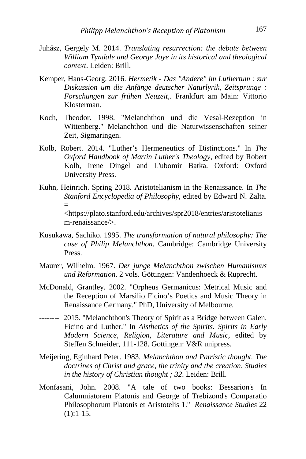- Juhász, Gergely M. 2014. *Translating resurrection: the debate between William Tyndale and George Joye in its historical and theological context*. Leiden: Brill.
- Kemper, Hans-Georg. 2016. *Hermetik - Das "Andere" im Luthertum : zur Diskussion um die Anfänge deutscher Naturlyrik*, *Zeitsprünge : Forschungen zur frühen Neuzeit,*. Frankfurt am Main: Vittorio Klosterman.
- Koch, Theodor. 1998. "Melanchthon und die Vesal-Rezeption in Wittenberg." Melanchthon und die Naturwissenschaften seiner Zeit, Sigmaringen.
- Kolb, Robert. 2014. "Luther's Hermeneutics of Distinctions." In *The Oxford Handbook of Martin Luther's Theology*, edited by Robert Kolb, Irene Dingel and L'ubomir Batka. Oxford: Oxford University Press.
- Kuhn, Heinrich. Spring 2018. Aristotelianism in the Renaissance. In *The Stanford Encyclopedia of Philosophy*, edited by Edward N. Zalta. = [<https://plato.stanford.edu/archives/spr2018/entries/aristotelianis](https://plato.stanford.edu/archives/spr2018/entries/aristotelianism-renaissance/) [m-renaissance/>](https://plato.stanford.edu/archives/spr2018/entries/aristotelianism-renaissance/).
- Kusukawa, Sachiko. 1995. *The transformation of natural philosophy: The case of Philip Melanchthon*. Cambridge: Cambridge University Press.
- Maurer, Wilhelm. 1967. *Der junge Melanchthon zwischen Humanismus und Reformation*. 2 vols. Göttingen: Vandenhoeck & Ruprecht.
- McDonald, Grantley. 2002. "Orpheus Germanicus: Metrical Music and the Reception of Marsilio Ficino's Poetics and Music Theory in Renaissance Germany." PhD, University of Melbourne.
- *--------* 2015. "Melanchthon's Theory of Spirit as a Bridge between Galen, Ficino and Luther." In *Aisthetics of the Spirits. Spirits in Early Modern Science, Religion, Literature and Music*, edited by Steffen Schneider, 111-128. Gottingen: V&R unipress.
- Meijering, Eginhard Peter. 1983. *Melanchthon and Patristic thought. The doctrines of Christ and grace, the trinity and the creation*, *Studies in the history of Christian thought ; 32*. Leiden: Brill.
- Monfasani, John. 2008. "A tale of two books: Bessarion's In Calumniatorem Platonis and George of Trebizond's Comparatio Philosophorum Platonis et Aristotelis 1." *Renaissance Studies* 22  $(1):1-15.$